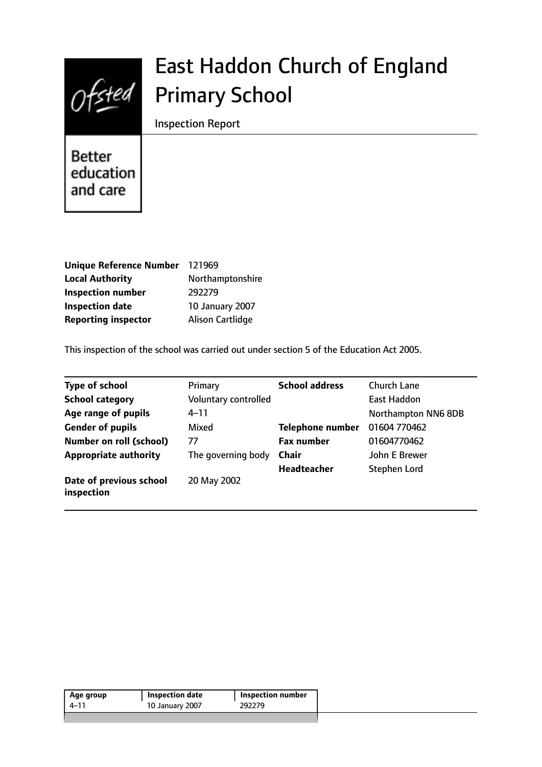

# East Haddon Church of England Primary School

Inspection Report

Better education and care

| Unique Reference Number 121969 |                  |
|--------------------------------|------------------|
| <b>Local Authority</b>         | Northamptonshire |
| <b>Inspection number</b>       | 292279           |
| <b>Inspection date</b>         | 10 January 2007  |
| <b>Reporting inspector</b>     | Alison Cartlidge |

This inspection of the school was carried out under section 5 of the Education Act 2005.

| <b>Type of school</b>                 | Primary              | <b>School address</b>   | Church Lane         |
|---------------------------------------|----------------------|-------------------------|---------------------|
| <b>School category</b>                | Voluntary controlled |                         | East Haddon         |
| Age range of pupils                   | $4 - 11$             |                         | Northampton NN6 8DB |
| <b>Gender of pupils</b>               | Mixed                | <b>Telephone number</b> | 01604 770462        |
| <b>Number on roll (school)</b>        | 77                   | <b>Fax number</b>       | 01604770462         |
| <b>Appropriate authority</b>          | The governing body   | <b>Chair</b>            | John E Brewer       |
|                                       |                      | <b>Headteacher</b>      | <b>Stephen Lord</b> |
| Date of previous school<br>inspection | 20 May 2002          |                         |                     |

| 292279<br>4–11  | <b>Inspection number</b> |
|-----------------|--------------------------|
| 10 January 2007 |                          |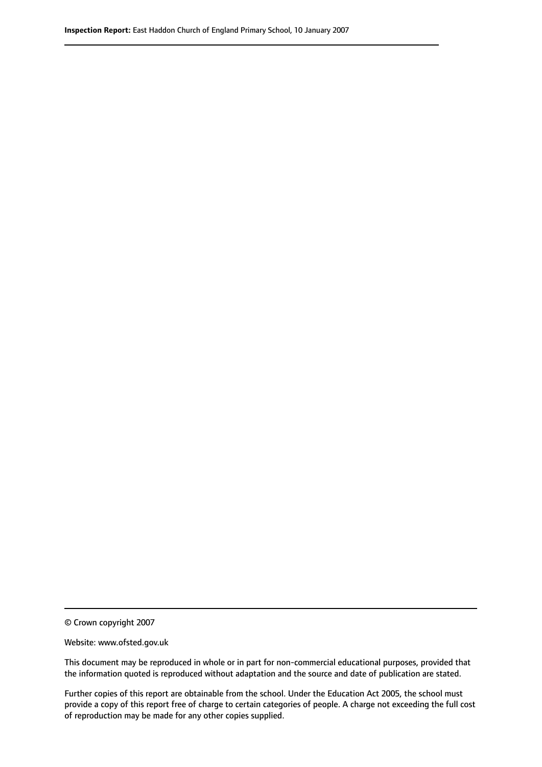© Crown copyright 2007

Website: www.ofsted.gov.uk

This document may be reproduced in whole or in part for non-commercial educational purposes, provided that the information quoted is reproduced without adaptation and the source and date of publication are stated.

Further copies of this report are obtainable from the school. Under the Education Act 2005, the school must provide a copy of this report free of charge to certain categories of people. A charge not exceeding the full cost of reproduction may be made for any other copies supplied.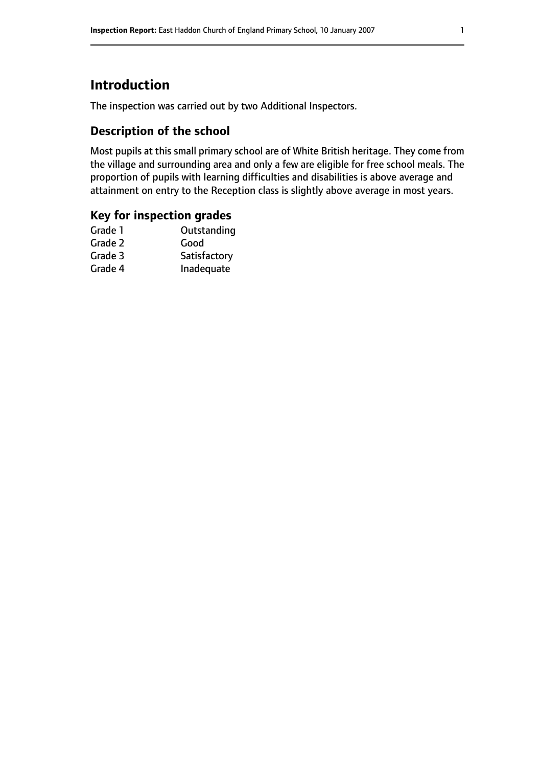# **Introduction**

The inspection was carried out by two Additional Inspectors.

## **Description of the school**

Most pupils at this small primary school are of White British heritage. They come from the village and surrounding area and only a few are eligible for free school meals. The proportion of pupils with learning difficulties and disabilities is above average and attainment on entry to the Reception class is slightly above average in most years.

## **Key for inspection grades**

| Outstanding  |
|--------------|
| Good         |
| Satisfactory |
| Inadequate   |
|              |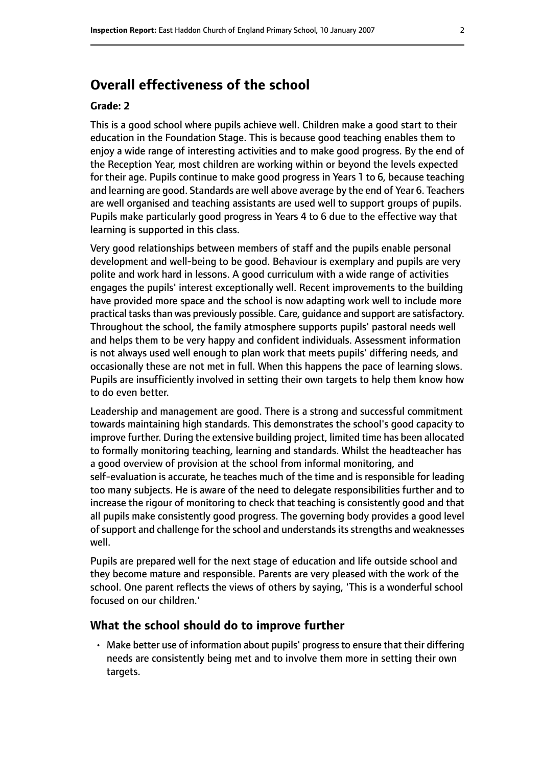# **Overall effectiveness of the school**

#### **Grade: 2**

This is a good school where pupils achieve well. Children make a good start to their education in the Foundation Stage. This is because good teaching enables them to enjoy a wide range of interesting activities and to make good progress. By the end of the Reception Year, most children are working within or beyond the levels expected for their age. Pupils continue to make good progress in Years 1 to 6, because teaching and learning are good. Standards are well above average by the end of Year 6. Teachers are well organised and teaching assistants are used well to support groups of pupils. Pupils make particularly good progress in Years 4 to 6 due to the effective way that learning is supported in this class.

Very good relationships between members of staff and the pupils enable personal development and well-being to be good. Behaviour is exemplary and pupils are very polite and work hard in lessons. A good curriculum with a wide range of activities engages the pupils' interest exceptionally well. Recent improvements to the building have provided more space and the school is now adapting work well to include more practical tasks than was previously possible. Care, quidance and support are satisfactory. Throughout the school, the family atmosphere supports pupils' pastoral needs well and helps them to be very happy and confident individuals. Assessment information is not always used well enough to plan work that meets pupils' differing needs, and occasionally these are not met in full. When this happens the pace of learning slows. Pupils are insufficiently involved in setting their own targets to help them know how to do even better.

Leadership and management are good. There is a strong and successful commitment towards maintaining high standards. This demonstrates the school's good capacity to improve further. During the extensive building project, limited time has been allocated to formally monitoring teaching, learning and standards. Whilst the headteacher has a good overview of provision at the school from informal monitoring, and self-evaluation is accurate, he teaches much of the time and is responsible for leading too many subjects. He is aware of the need to delegate responsibilities further and to increase the rigour of monitoring to check that teaching is consistently good and that all pupils make consistently good progress. The governing body provides a good level of support and challenge for the school and understands its strengths and weaknesses well.

Pupils are prepared well for the next stage of education and life outside school and they become mature and responsible. Parents are very pleased with the work of the school. One parent reflects the views of others by saying, 'This is a wonderful school focused on our children.'

#### **What the school should do to improve further**

• Make better use of information about pupils' progress to ensure that their differing needs are consistently being met and to involve them more in setting their own targets.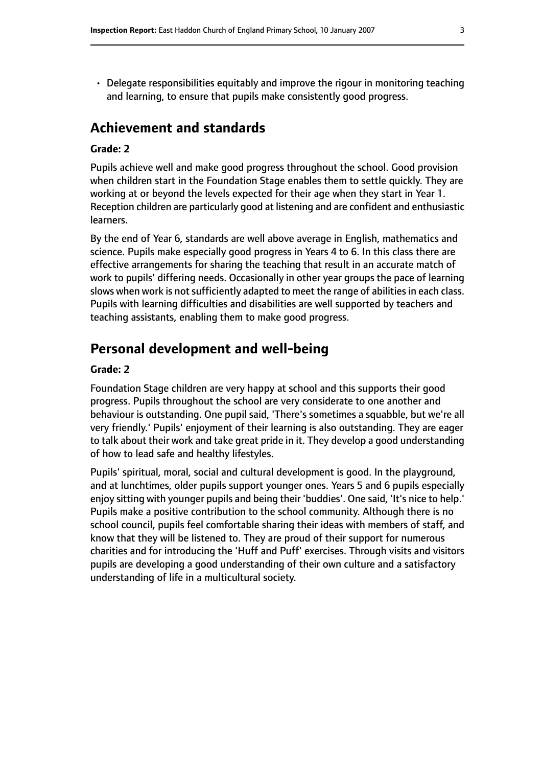• Delegate responsibilities equitably and improve the rigour in monitoring teaching and learning, to ensure that pupils make consistently good progress.

## **Achievement and standards**

#### **Grade: 2**

Pupils achieve well and make good progress throughout the school. Good provision when children start in the Foundation Stage enables them to settle quickly. They are working at or beyond the levels expected for their age when they start in Year 1. Reception children are particularly good at listening and are confident and enthusiastic learners.

By the end of Year 6, standards are well above average in English, mathematics and science. Pupils make especially good progress in Years 4 to 6. In this class there are effective arrangements for sharing the teaching that result in an accurate match of work to pupils' differing needs. Occasionally in other year groups the pace of learning slows when work is not sufficiently adapted to meet the range of abilities in each class. Pupils with learning difficulties and disabilities are well supported by teachers and teaching assistants, enabling them to make good progress.

## **Personal development and well-being**

#### **Grade: 2**

Foundation Stage children are very happy at school and this supports their good progress. Pupils throughout the school are very considerate to one another and behaviour is outstanding. One pupil said, 'There's sometimes a squabble, but we're all very friendly.' Pupils' enjoyment of their learning is also outstanding. They are eager to talk about their work and take great pride in it. They develop a good understanding of how to lead safe and healthy lifestyles.

Pupils' spiritual, moral, social and cultural development is good. In the playground, and at lunchtimes, older pupils support younger ones. Years 5 and 6 pupils especially enjoy sitting with younger pupils and being their 'buddies'. One said, 'It's nice to help.' Pupils make a positive contribution to the school community. Although there is no school council, pupils feel comfortable sharing their ideas with members of staff, and know that they will be listened to. They are proud of their support for numerous charities and for introducing the 'Huff and Puff' exercises. Through visits and visitors pupils are developing a good understanding of their own culture and a satisfactory understanding of life in a multicultural society.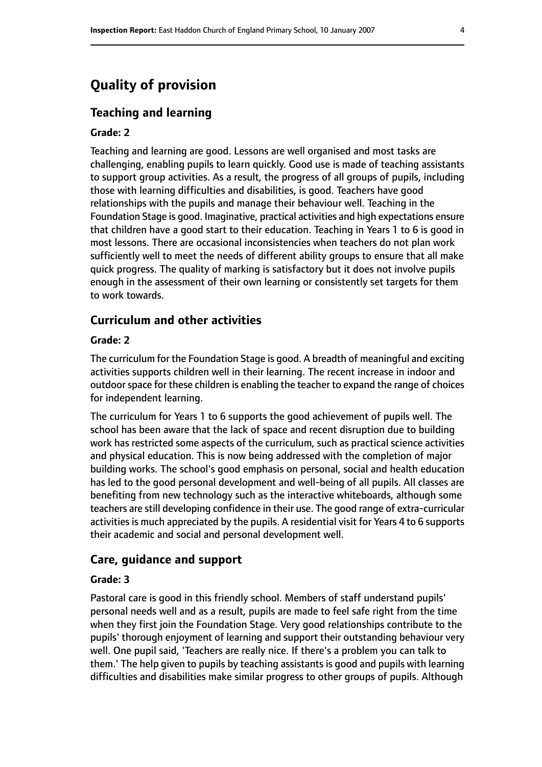# **Quality of provision**

### **Teaching and learning**

#### **Grade: 2**

Teaching and learning are good. Lessons are well organised and most tasks are challenging, enabling pupils to learn quickly. Good use is made of teaching assistants to support group activities. As a result, the progress of all groups of pupils, including those with learning difficulties and disabilities, is good. Teachers have good relationships with the pupils and manage their behaviour well. Teaching in the Foundation Stage is good. Imaginative, practical activities and high expectations ensure that children have a good start to their education. Teaching in Years 1 to 6 is good in most lessons. There are occasional inconsistencies when teachers do not plan work sufficiently well to meet the needs of different ability groups to ensure that all make quick progress. The quality of marking is satisfactory but it does not involve pupils enough in the assessment of their own learning or consistently set targets for them to work towards.

## **Curriculum and other activities**

#### **Grade: 2**

The curriculum for the Foundation Stage is good. A breadth of meaningful and exciting activities supports children well in their learning. The recent increase in indoor and outdoor space for these children is enabling the teacher to expand the range of choices for independent learning.

The curriculum for Years 1 to 6 supports the good achievement of pupils well. The school has been aware that the lack of space and recent disruption due to building work has restricted some aspects of the curriculum, such as practical science activities and physical education. This is now being addressed with the completion of major building works. The school's good emphasis on personal, social and health education has led to the good personal development and well-being of all pupils. All classes are benefiting from new technology such as the interactive whiteboards, although some teachers are still developing confidence in their use. The good range of extra-curricular activities is much appreciated by the pupils. A residential visit for Years 4 to 6 supports their academic and social and personal development well.

#### **Care, guidance and support**

#### **Grade: 3**

Pastoral care is good in this friendly school. Members of staff understand pupils' personal needs well and as a result, pupils are made to feel safe right from the time when they first join the Foundation Stage. Very good relationships contribute to the pupils' thorough enjoyment of learning and support their outstanding behaviour very well. One pupil said, 'Teachers are really nice. If there's a problem you can talk to them.' The help given to pupils by teaching assistants is good and pupils with learning difficulties and disabilities make similar progress to other groups of pupils. Although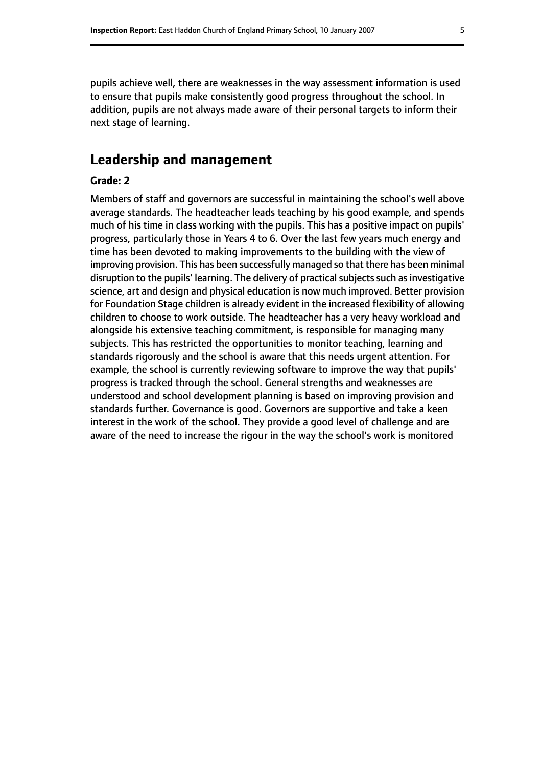pupils achieve well, there are weaknesses in the way assessment information is used to ensure that pupils make consistently good progress throughout the school. In addition, pupils are not always made aware of their personal targets to inform their next stage of learning.

# **Leadership and management**

#### **Grade: 2**

Members of staff and governors are successful in maintaining the school's well above average standards. The headteacher leads teaching by his good example, and spends much of his time in class working with the pupils. This has a positive impact on pupils' progress, particularly those in Years 4 to 6. Over the last few years much energy and time has been devoted to making improvements to the building with the view of improving provision. This has been successfully managed so that there has been minimal disruption to the pupils' learning. The delivery of practical subjects such as investigative science, art and design and physical education is now much improved. Better provision for Foundation Stage children is already evident in the increased flexibility of allowing children to choose to work outside. The headteacher has a very heavy workload and alongside his extensive teaching commitment, is responsible for managing many subjects. This has restricted the opportunities to monitor teaching, learning and standards rigorously and the school is aware that this needs urgent attention. For example, the school is currently reviewing software to improve the way that pupils' progress is tracked through the school. General strengths and weaknesses are understood and school development planning is based on improving provision and standards further. Governance is good. Governors are supportive and take a keen interest in the work of the school. They provide a good level of challenge and are aware of the need to increase the rigour in the way the school's work is monitored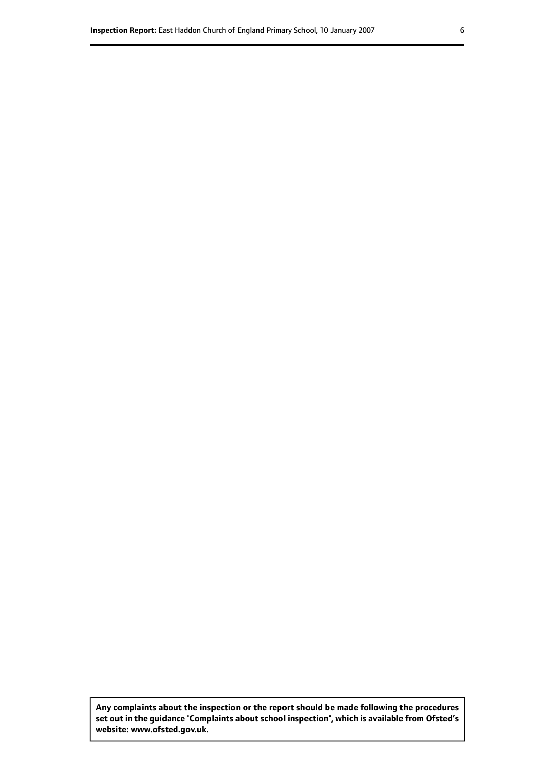**Any complaints about the inspection or the report should be made following the procedures set out inthe guidance 'Complaints about school inspection', whichis available from Ofsted's website: www.ofsted.gov.uk.**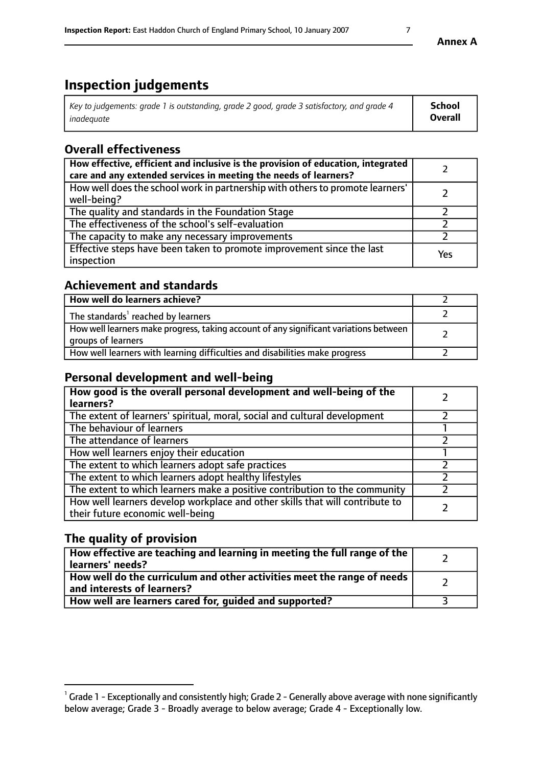# **Inspection judgements**

| Key to judgements: grade 1 is outstanding, grade 2 good, grade 3 satisfactory, and grade 4 | School  |
|--------------------------------------------------------------------------------------------|---------|
| inadeauate                                                                                 | Overall |

# **Overall effectiveness**

| How effective, efficient and inclusive is the provision of education, integrated<br>care and any extended services in meeting the needs of learners? |     |
|------------------------------------------------------------------------------------------------------------------------------------------------------|-----|
| How well does the school work in partnership with others to promote learners'<br>well-being?                                                         |     |
| The quality and standards in the Foundation Stage                                                                                                    |     |
| The effectiveness of the school's self-evaluation                                                                                                    |     |
| The capacity to make any necessary improvements                                                                                                      |     |
| Effective steps have been taken to promote improvement since the last<br>inspection                                                                  | Yes |

# **Achievement and standards**

| How well do learners achieve?                                                                               |  |
|-------------------------------------------------------------------------------------------------------------|--|
| The standards <sup>1</sup> reached by learners                                                              |  |
| How well learners make progress, taking account of any significant variations between<br>groups of learners |  |
| How well learners with learning difficulties and disabilities make progress                                 |  |

# **Personal development and well-being**

| How good is the overall personal development and well-being of the<br>learners?                                  |  |
|------------------------------------------------------------------------------------------------------------------|--|
| The extent of learners' spiritual, moral, social and cultural development                                        |  |
| The behaviour of learners                                                                                        |  |
| The attendance of learners                                                                                       |  |
| How well learners enjoy their education                                                                          |  |
| The extent to which learners adopt safe practices                                                                |  |
| The extent to which learners adopt healthy lifestyles                                                            |  |
| The extent to which learners make a positive contribution to the community                                       |  |
| How well learners develop workplace and other skills that will contribute to<br>their future economic well-being |  |

# **The quality of provision**

| $\Box$ How effective are teaching and learning in meeting the full range of the $\Box$<br>  learners' needs?        |  |
|---------------------------------------------------------------------------------------------------------------------|--|
| $\mid$ How well do the curriculum and other activities meet the range of needs<br>$\mid$ and interests of learners? |  |
| How well are learners cared for, guided and supported?                                                              |  |

 $^1$  Grade 1 - Exceptionally and consistently high; Grade 2 - Generally above average with none significantly below average; Grade 3 - Broadly average to below average; Grade 4 - Exceptionally low.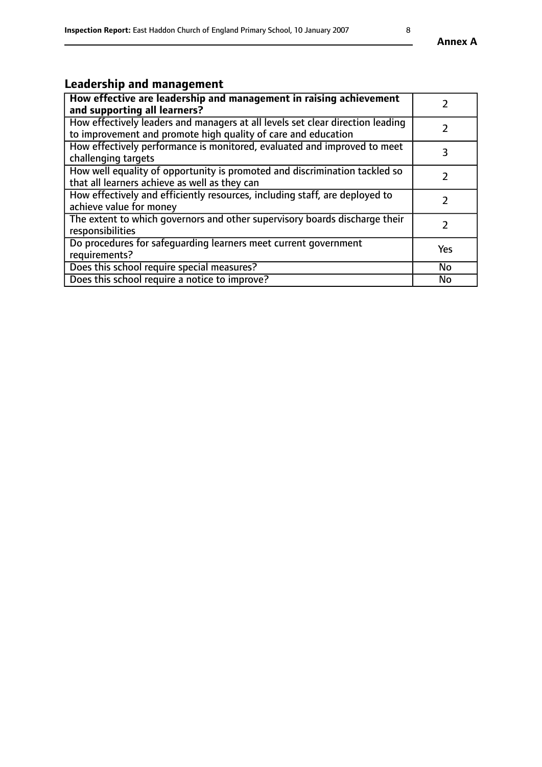# **Leadership and management**

| How effective are leadership and management in raising achievement<br>and supporting all learners?                                              |               |
|-------------------------------------------------------------------------------------------------------------------------------------------------|---------------|
| How effectively leaders and managers at all levels set clear direction leading<br>to improvement and promote high quality of care and education |               |
| How effectively performance is monitored, evaluated and improved to meet<br>challenging targets                                                 | 3             |
| How well equality of opportunity is promoted and discrimination tackled so<br>that all learners achieve as well as they can                     |               |
| How effectively and efficiently resources, including staff, are deployed to<br>achieve value for money                                          | $\mathcal{L}$ |
| The extent to which governors and other supervisory boards discharge their<br>responsibilities                                                  |               |
| Do procedures for safequarding learners meet current government<br>requirements?                                                                | Yes           |
| Does this school require special measures?                                                                                                      | No            |
| Does this school require a notice to improve?                                                                                                   | <b>No</b>     |